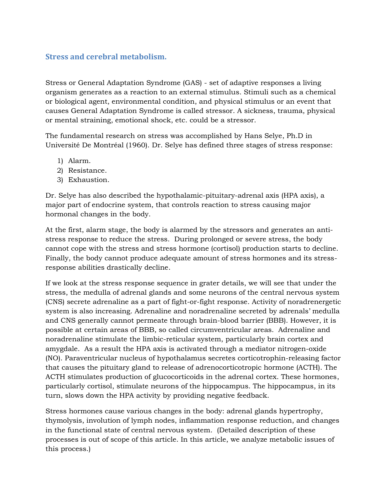## **Stress and cerebral metabolism.**

Stress or General Adaptation Syndrome (GAS) - set of adaptive responses a living organism generates as a reaction to an external stimulus. Stimuli such as a chemical or biological agent, environmental condition, and physical stimulus or an event that causes General Adaptation Syndrome is called stressor. A sickness, trauma, physical or mental straining, emotional shock, etc. could be a stressor.

The fundamental research on stress was accomplished by Hans Selye, Ph.D in Université De Montréal (1960). Dr. Selye has defined three stages of stress response:

- 1) Alarm.
- 2) Resistance.
- 3) Exhaustion.

Dr. Selye has also described the hypothalamic-pituitary-adrenal axis (HPA axis), a major part of endocrine system, that controls reaction to stress causing major hormonal changes in the body.

At the first, alarm stage, the body is alarmed by the stressors and generates an antistress response to reduce the stress. During prolonged or severe stress, the body cannot cope with the stress and stress hormone (cortisol) production starts to decline. Finally, the body cannot produce adequate amount of stress hormones and its stressresponse abilities drastically decline.

If we look at the stress response sequence in grater details, we will see that under the stress, the medulla of adrenal glands and some neurons of the central nervous system (CNS) secrete adrenaline as a part of fight-or-fight response. Activity of noradrenergetic system is also increasing. Adrenaline and noradrenaline secreted by adrenals' medulla and CNS generally cannot permeate through brain-blood barrier (BBB). However, it is possible at certain areas of BBB, so called circumventricular areas. Adrenaline and noradrenaline stimulate the limbic-reticular system, particularly brain cortex and amygdale. As a result the HPA axis is activated through a mediator nitrogen-oxide (NO). Paraventricular nucleus of hypothalamus secretes corticotrophin-releasing factor that causes the pituitary gland to release of adrenocorticotropic hormone (ACTH). The ACTH stimulates production of glucocorticoids in the adrenal cortex. These hormones, particularly cortisol, stimulate neurons of the hippocampus. The hippocampus, in its turn, slows down the HPA activity by providing negative feedback.

Stress hormones cause various changes in the body: adrenal glands hypertrophy, thymolysis, involution of lymph nodes, inflammation response reduction, and changes in the functional state of central nervous system. (Detailed description of these processes is out of scope of this article. In this article, we analyze metabolic issues of this process.)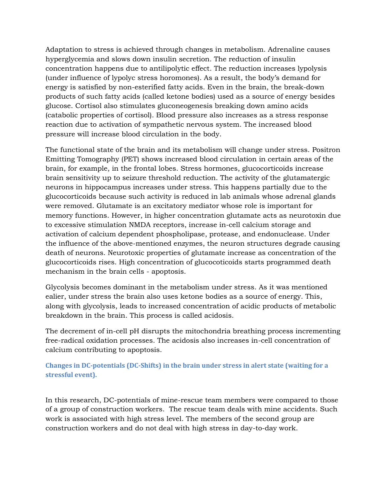Adaptation to stress is achieved through changes in metabolism. Adrenaline causes hyperglycemia and slows down insulin secretion. The reduction of insulin concentration happens due to antilipolytic effect. The reduction increases lypolysis (under influence of lypolyc stress horomones). As a result, the body's demand for energy is satisfied by non-esterified fatty acids. Even in the brain, the break-down products of such fatty acids (called ketone bodies) used as a source of energy besides glucose. Cortisol also stimulates gluconeogenesis breaking down amino acids (catabolic properties of cortisol). Blood pressure also increases as a stress response reaction due to activation of sympathetic nervous system. The increased blood pressure will increase blood circulation in the body.

The functional state of the brain and its metabolism will change under stress. Positron Emitting Tomography (PET) shows increased blood circulation in certain areas of the brain, for example, in the frontal lobes. Stress hormones, glucocorticoids increase brain sensitivity up to seizure threshold reduction. The activity of the glutamatergic neurons in hippocampus increases under stress. This happens partially due to the glucocorticoids because such activity is reduced in lab animals whose adrenal glands were removed. Glutamate is an excitatory mediator whose role is important for memory functions. However, in higher concentration glutamate acts as neurotoxin due to excessive stimulation NMDA receptors, increase in-cell calcium storage and activation of calcium dependent phospholipase, protease, and endonuclease. Under the influence of the above-mentioned enzymes, the neuron structures degrade causing death of neurons. Neurotoxic properties of glutamate increase as concentration of the glucocorticoids rises. High concentration of glucocoticoids starts programmed death mechanism in the brain cells - apoptosis.

Glycolysis becomes dominant in the metabolism under stress. As it was mentioned ealier, under stress the brain also uses ketone bodies as a source of energy. This, along with glycolysis, leads to increased concentration of acidic products of metabolic breakdown in the brain. This process is called acidosis.

The decrement of in-cell pH disrupts the mitochondria breathing process incrementing free-radical oxidation processes. The acidosis also increases in-cell concentration of calcium contributing to apoptosis.

## **Changes in DC-potentials (DC-Shifts) in the brain under stress in alert state (waiting for a stressful event).**

In this research, DC-potentials of mine-rescue team members were compared to those of a group of construction workers. The rescue team deals with mine accidents. Such work is associated with high stress level. The members of the second group are construction workers and do not deal with high stress in day-to-day work.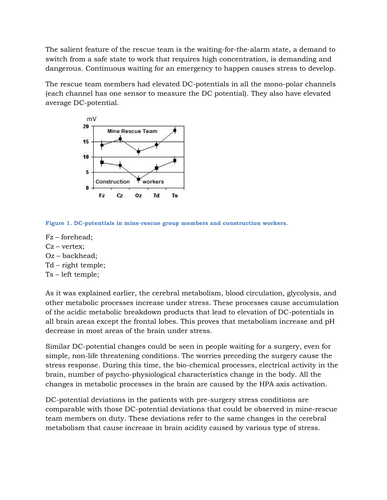The salient feature of the rescue team is the waiting-for-the-alarm state, a demand to switch from a safe state to work that requires high concentration, is demanding and dangerous. Continuous waiting for an emergency to happen causes stress to develop.

The rescue team members had elevated DC-potentials in all the mono-polar channels (each channel has one sensor to measure the DC potential). They also have elevated average DC-potential.



**Figure 1. DC-potentials in mine-rescue group members and construction workers.**

- Fz forehead;
- Cz vertex;
- Oz backhead;
- Td right temple;
- Ts left temple;

As it was explained earlier, the cerebral metabolism, blood circulation, glycolysis, and other metabolic processes increase under stress. These processes cause accumulation of the acidic metabolic breakdown products that lead to elevation of DC-potentials in all brain areas except the frontal lobes. This proves that metabolism increase and pH decrease in most areas of the brain under stress.

Similar DC-potential changes could be seen in people waiting for a surgery, even for simple, non-life threatening conditions. The worries preceding the surgery cause the stress response. During this time, the bio-chemical processes, electrical activity in the brain, number of psycho-physiological characteristics change in the body. All the changes in metabolic processes in the brain are caused by the HPA axis activation.

DC-potential deviations in the patients with pre-surgery stress conditions are comparable with those DC-potential deviations that could be observed in mine-rescue team members on duty. These deviations refer to the same changes in the cerebral metabolism that cause increase in brain acidity caused by various type of stress.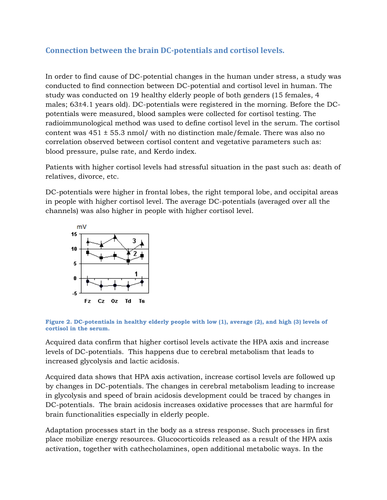## **Connection between the brain DC-potentials and cortisol levels.**

In order to find cause of DC-potential changes in the human under stress, a study was conducted to find connection between DC-potential and cortisol level in human. The study was conducted on 19 healthy elderly people of both genders (15 females, 4 males; 63±4.1 years old). DC-potentials were registered in the morning. Before the DCpotentials were measured, blood samples were collected for cortisol testing. The radioimmunological method was used to define cortisol level in the serum. The cortisol content was  $451 \pm 55.3$  nmol/ with no distinction male/female. There was also no correlation observed between cortisol content and vegetative parameters such as: blood pressure, pulse rate, and Kerdo index.

Patients with higher cortisol levels had stressful situation in the past such as: death of relatives, divorce, etc.

DC-potentials were higher in frontal lobes, the right temporal lobe, and occipital areas in people with higher cortisol level. The average DC-potentials (averaged over all the channels) was also higher in people with higher cortisol level.



**Figure 2. DC-potentials in healthy elderly people with low (1), average (2), and high (3) levels of cortisol in the serum.**

Acquired data confirm that higher cortisol levels activate the HPA axis and increase levels of DC-potentials. This happens due to cerebral metabolism that leads to increased glycolysis and lactic acidosis.

Acquired data shows that HPA axis activation, increase cortisol levels are followed up by changes in DC-potentials. The changes in cerebral metabolism leading to increase in glycolysis and speed of brain acidosis development could be traced by changes in DC-potentials. The brain acidosis increases oxidative processes that are harmful for brain functionalities especially in elderly people.

Adaptation processes start in the body as a stress response. Such processes in first place mobilize energy resources. Glucocorticoids released as a result of the HPA axis activation, together with cathecholamines, open additional metabolic ways. In the